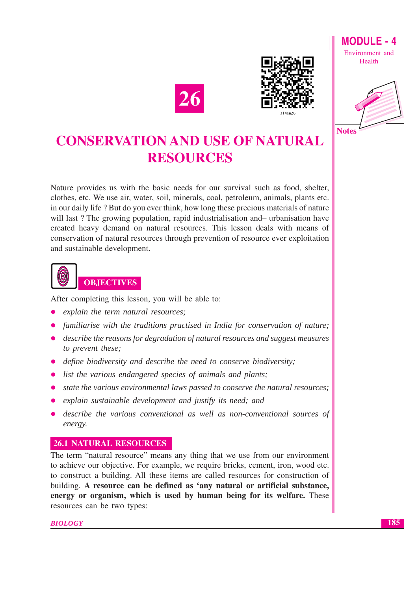



Environment and Health

**MODULE - 4** 



# **CONSERVATION AND USE OF NATURAL RESOURCES**

Nature provides us with the basic needs for our survival such as food, shelter, clothes, etc. We use air, water, soil, minerals, coal, petroleum, animals, plants etc. in our daily life? But do you ever think, how long these precious materials of nature will last? The growing population, rapid industrialisation and – urbanisation have created heavy demand on natural resources. This lesson deals with means of conservation of natural resources through prevention of resource ever exploitation and sustainable development.



After completing this lesson, you will be able to:

- explain the term natural resources;
- familiarise with the traditions practised in India for conservation of nature;
- describe the reasons for degradation of natural resources and suggest measures to prevent these;
- define biodiversity and describe the need to conserve biodiversity;
- list the various endangered species of animals and plants;
- state the various environmental laws passed to conserve the natural resources;
- explain sustainable development and justify its need; and
- describe the various conventional as well as non-conventional sources of energy.

## **26.1 NATURAL RESOURCES**

The term "natural resource" means any thing that we use from our environment to achieve our objective. For example, we require bricks, cement, iron, wood etc. to construct a building. All these items are called resources for construction of building. A resource can be defined as 'any natural or artificial substance, energy or organism, which is used by human being for its welfare. These resources can be two types:

**BIOLOGY**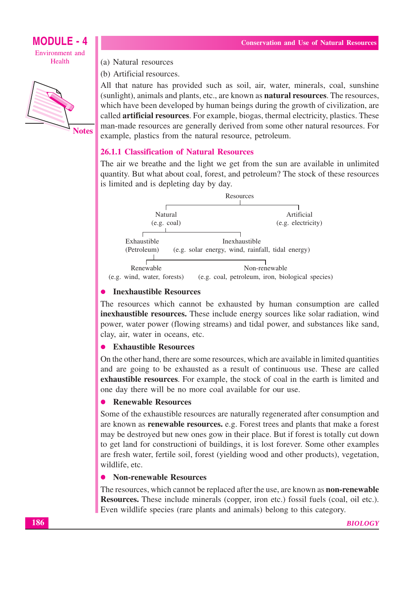



(a) Natural resources

(b) Artificial resources.

All that nature has provided such as soil, air, water, minerals, coal, sunshine (sunlight), animals and plants, etc., are known as **natural resources**. The resources, which have been developed by human beings during the growth of civilization, are called **artificial resources**. For example, biogas, thermal electricity, plastics. These man-made resources are generally derived from some other natural resources. For example, plastics from the natural resource, petroleum.

#### **26.1.1 Classification of Natural Resources**

The air we breathe and the light we get from the sun are available in unlimited quantity. But what about coal, forest, and petroleum? The stock of these resources is limited and is depleting day by day.

|                             | Resources                                         |
|-----------------------------|---------------------------------------------------|
|                             |                                                   |
| Natural                     | Artificial                                        |
| (e.g. coal)                 | (e.g. electricity)                                |
|                             |                                                   |
| Exhaustible                 | Inexhaustible                                     |
| (Petroleum)                 | (e.g. solar energy, wind, rainfall, tidal energy) |
|                             |                                                   |
| Renewable                   | Non-renewable                                     |
| (e.g. wind, water, forests) | (e.g. coal, petroleum, iron, biological species)  |

## • Inexhaustible Resources

The resources which cannot be exhausted by human consumption are called inexhaustible resources. These include energy sources like solar radiation, wind power, water power (flowing streams) and tidal power, and substances like sand, clay, air, water in oceans, etc.

#### **Exhaustible Resources**

On the other hand, there are some resources, which are available in limited quantities and are going to be exhausted as a result of continuous use. These are called exhaustible resources. For example, the stock of coal in the earth is limited and one day there will be no more coal available for our use.

#### **Renewable Resources**

Some of the exhaustible resources are naturally regenerated after consumption and are known as **renewable resources**, e.g. Forest trees and plants that make a forest may be destroyed but new ones gow in their place. But if forest is totally cut down to get land for constructioni of buildings, it is lost forever. Some other examples are fresh water, fertile soil, forest (yielding wood and other products), vegetation, wildlife, etc.

#### • Non-renewable Resources

The resources, which cannot be replaced after the use, are known as **non-renewable Resources.** These include minerals (copper, iron etc.) fossil fuels (coal, oil etc.). Even wildlife species (rare plants and animals) belong to this category.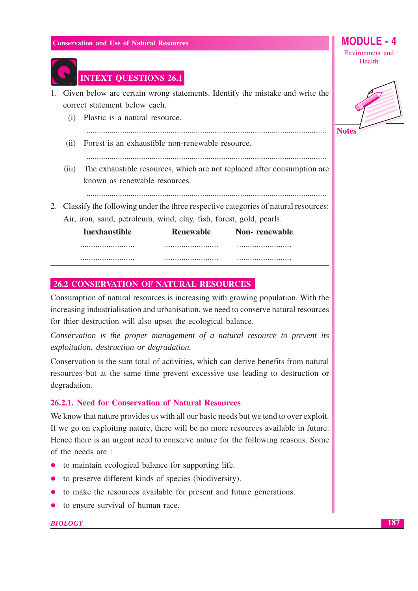

## **INTEXT QUESTIONS 26.1**

- 1. Given below are certain wrong statements. Identify the mistake and write the correct statement below each.
- (i) Plastic is a natural resource. (ii) Forest is an exhaustible non-renewable resource. (iii) The exhaustible resources, which are not replaced after consumption are known as renewable resources. 2. Classify the following under the three respective categories of natural resources: Air, iron, sand, petroleum, wind, clay, fish, forest, gold, pearls.

| Inexhaustible | <b>Renewable</b> | <b>Non-</b> renewable |
|---------------|------------------|-----------------------|
|               |                  |                       |
|               |                  |                       |

#### **26.2 CONSERVATION OF NATURAL RESOURCES**

Consumption of natural resources is increasing with growing population. With the increasing industrialisation and urbanisation, we need to conserve natural resources for thier destruction will also upset the ecological balance.

Conservation is the proper management of a natural resource to prevent its exploitation, destruction or degradation.

Conservation is the sum total of activities, which can derive benefits from natural resources but at the same time prevent excessive use leading to destruction or degradation.

#### 26.2.1. Need for Conservation of Natural Resources

We know that nature provides us with all our basic needs but we tend to over exploit. If we go on exploiting nature, there will be no more resources available in future. Hence there is an urgent need to conserve nature for the following reasons. Some of the needs are:

- to maintain ecological balance for supporting life.
- to preserve different kinds of species (biodiversity).
- to make the resources available for present and future generations.
- $\bullet$  to ensure survival of human race.

#### **BIOLOGY**

Environment and Health

MODUI F - 4

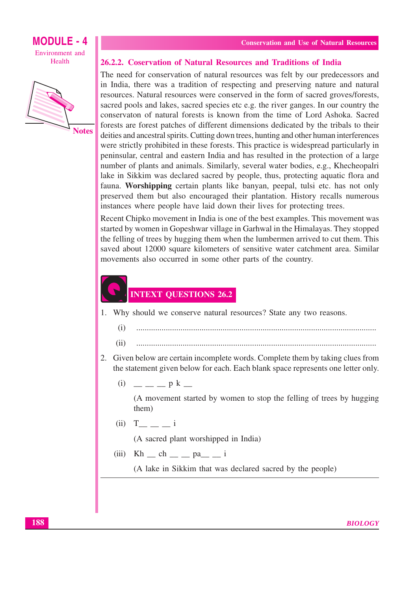





#### 26.2.2. Coservation of Natural Resources and Traditions of India

The need for conservation of natural resources was felt by our predecessors and in India, there was a tradition of respecting and preserving nature and natural resources. Natural resources were conserved in the form of sacred groves/forests, sacred pools and lakes, sacred species etc e.g. the river ganges. In our country the conservaton of natural forests is known from the time of Lord Ashoka. Sacred forests are forest patches of different dimensions dedicated by the tribals to their deities and ancestral spirits. Cutting down trees, hunting and other human interferences were strictly prohibited in these forests. This practice is widespread particularly in peninsular, central and eastern India and has resulted in the protection of a large number of plants and animals. Similarly, several water bodies, e.g., Khecheopalri lake in Sikkim was declared sacred by people, thus, protecting aquatic flora and fauna. Worshipping certain plants like banyan, peepal, tulsi etc. has not only preserved them but also encouraged their plantation. History recalls numerous instances where people have laid down their lives for protecting trees.

Recent Chipko movement in India is one of the best examples. This movement was started by women in Gopeshwar village in Garhwal in the Himalayas. They stopped the felling of trees by hugging them when the lumbermen arrived to cut them. This saved about 12000 square kilometers of sensitive water catchment area. Similar movements also occurred in some other parts of the country.

## **INTEXT QUESTIONS 26.2**

- 1. Why should we conserve natural resources? State any two reasons.
	- $(i)$
	- $(ii)$
- 2. Given below are certain incomplete words. Complete them by taking clues from the statement given below for each. Each blank space represents one letter only.
	- $(i)$  p k

(A movement started by women to stop the felling of trees by hugging them)

 $(ii) T_$   $I_$   $i$ 

(A sacred plant worshipped in India)

- $(iii)$  Kh  $_$ ch  $_$ n  $pa_$   $_$ i
	- (A lake in Sikkim that was declared sacred by the people)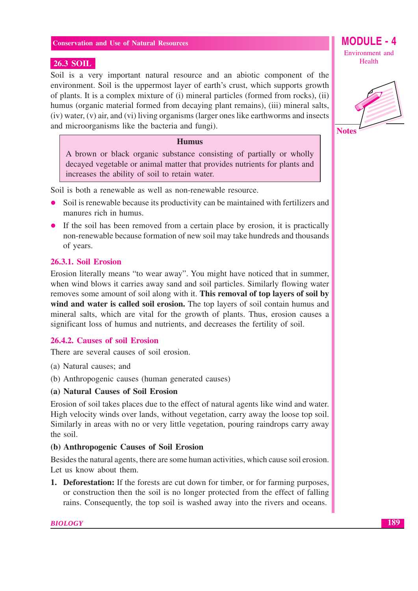#### **26.3 SOIL**

Soil is a very important natural resource and an abiotic component of the environment. Soil is the uppermost layer of earth's crust, which supports growth of plants. It is a complex mixture of (i) mineral particles (formed from rocks), (ii) humus (organic material formed from decaying plant remains), (iii) mineral salts, (iv) water, (v) air, and (vi) living organisms (larger ones like earthworms and insects and microorganisms like the bacteria and fungi).

#### **Humus**

A brown or black organic substance consisting of partially or wholly decayed vegetable or animal matter that provides nutrients for plants and increases the ability of soil to retain water.

Soil is both a renewable as well as non-renewable resource.

- Soil is renewable because its productivity can be maintained with fertilizers and manures rich in humus.
- If the soil has been removed from a certain place by erosion, it is practically non-renewable because formation of new soil may take hundreds and thousands of years.

#### 26.3.1. Soil Erosion

Erosion literally means "to wear away". You might have noticed that in summer, when wind blows it carries away sand and soil particles. Similarly flowing water removes some amount of soil along with it. This removal of top layers of soil by wind and water is called soil erosion. The top layers of soil contain humus and mineral salts, which are vital for the growth of plants. Thus, erosion causes a significant loss of humus and nutrients, and decreases the fertility of soil.

#### 26.4.2. Causes of soil Erosion

There are several causes of soil erosion.

- (a) Natural causes; and
- (b) Anthropogenic causes (human generated causes)

#### (a) Natural Causes of Soil Erosion

Erosion of soil takes places due to the effect of natural agents like wind and water. High velocity winds over lands, without vegetation, carry away the loose top soil. Similarly in areas with no or very little vegetation, pouring raindrops carry away the soil.

#### (b) Anthropogenic Causes of Soil Erosion

Besides the natural agents, there are some human activities, which cause soil erosion. Let us know about them.

1. Deforestation: If the forests are cut down for timber, or for farming purposes, or construction then the soil is no longer protected from the effect of falling rains. Consequently, the top soil is washed away into the rivers and oceans.



189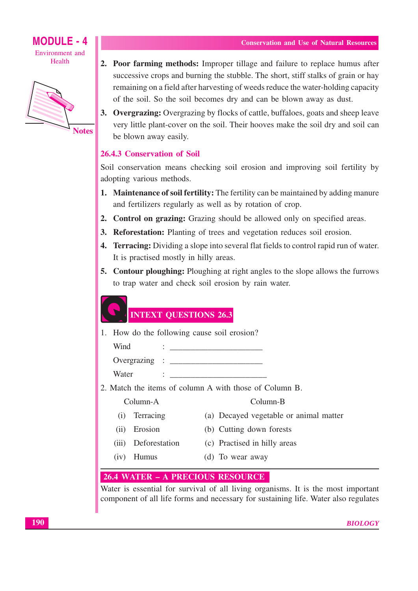



- 2. Poor farming methods: Improper tillage and failure to replace humus after successive crops and burning the stubble. The short, stiff stalks of grain or hay remaining on a field after harvesting of weeds reduce the water-holding capacity of the soil. So the soil becomes dry and can be blown away as dust.
- 3. Overgrazing: Overgrazing by flocks of cattle, buffaloes, goats and sheep leave very little plant-cover on the soil. Their hooves make the soil dry and soil can be blown away easily.

#### 26.4.3 Conservation of Soil

Soil conservation means checking soil erosion and improving soil fertility by adopting various methods.

- 1. Maintenance of soil fertility: The fertility can be maintained by adding manure and fertilizers regularly as well as by rotation of crop.
- 2. Control on grazing: Grazing should be allowed only on specified areas.
- 3. Reforestation: Planting of trees and vegetation reduces soil erosion.
- 4. Terracing: Dividing a slope into several flat fields to control rapid run of water. It is practised mostly in hilly areas.
- 5. Contour ploughing: Ploughing at right angles to the slope allows the furrows to trap water and check soil erosion by rain water.

## **INTEXT QUESTIONS 26.3**

1. How do the following cause soil erosion?

 $\mathbf{r}$  and  $\mathbf{r}$ 

- Wind  $\mathbf{1}$  and  $\mathbf{1}$  and  $\mathbf{1}$  and  $\mathbf{1}$  and  $\mathbf{1}$  and  $\mathbf{1}$  and  $\mathbf{1}$
- Overgrazing <u> 1965 - Johann Barbara, martin a</u>
- Water
- 2. Match the items of column A with those of Column B.

#### Column-A

(a) Decayed vegetable or animal matter

Column-B

- (i) Terracing (ii) Erosion
- (b) Cutting down forests
- (iii) Deforestation
- (c) Practised in hilly areas
- (iv) Humus
- (d) To wear away
- 

#### **26.4 WATER - A PRECIOUS RESOURCE**

Water is essential for survival of all living organisms. It is the most important component of all life forms and necessary for sustaining life. Water also regulates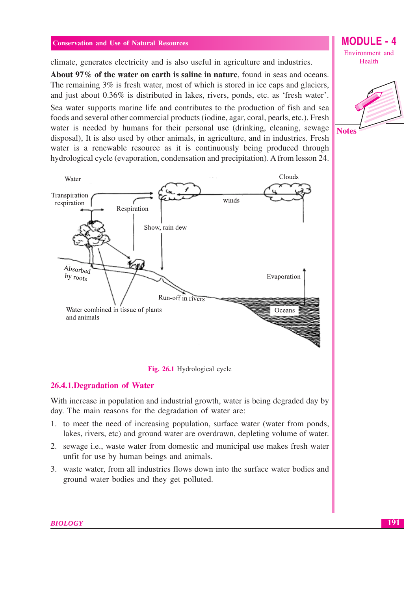climate, generates electricity and is also useful in agriculture and industries.

About 97% of the water on earth is saline in nature, found in seas and oceans. The remaining 3% is fresh water, most of which is stored in ice caps and glaciers, and just about 0.36% is distributed in lakes, rivers, ponds, etc. as 'fresh water'.

Sea water supports marine life and contributes to the production of fish and sea foods and several other commercial products (iodine, agar, coral, pearls, etc.). Fresh water is needed by humans for their personal use (drinking, cleaning, sewage disposal), It is also used by other animals, in agriculture, and in industries. Fresh water is a renewable resource as it is continuously being produced through hydrological cycle (evaporation, condensation and precipitation). A from lesson 24.



Fig. 26.1 Hydrological cycle

#### 26.4.1. Degradation of Water

With increase in population and industrial growth, water is being degraded day by day. The main reasons for the degradation of water are:

- 1. to meet the need of increasing population, surface water (water from ponds, lakes, rivers, etc) and ground water are overdrawn, depleting volume of water.
- 2. sewage i.e., waste water from domestic and municipal use makes fresh water unfit for use by human beings and animals.
- 3. waste water, from all industries flows down into the surface water bodies and ground water bodies and they get polluted.

#### **MODULE - 4** Environment and Health

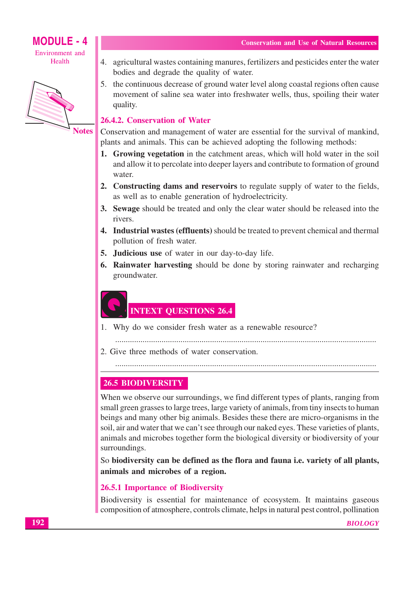

## **MODULE - 4** Environment and





**Notes** 

- 4. agricultural wastes containing manures, fertilizers and pesticides enter the water bodies and degrade the quality of water.
- 5. the continuous decrease of ground water level along coastal regions often cause movement of saline sea water into freshwater wells, thus, spoiling their water quality.

#### 26.4.2. Conservation of Water

Conservation and management of water are essential for the survival of mankind, plants and animals. This can be achieved adopting the following methods:

- 1. Growing vegetation in the catchment areas, which will hold water in the soil and allow it to percolate into deeper layers and contribute to formation of ground water
- 2. Constructing dams and reservoirs to regulate supply of water to the fields, as well as to enable generation of hydroelectricity.
- **3.** Sewage should be treated and only the clear water should be released into the rivers.
- 4. Industrial wastes (effluents) should be treated to prevent chemical and thermal pollution of fresh water.
- 5. Judicious use of water in our day-to-day life.
- **6. Rainwater harvesting** should be done by storing rainwater and recharging groundwater.

## **INTEXT QUESTIONS 26.4**

1. Why do we consider fresh water as a renewable resource?

2. Give three methods of water conservation.

## **26.5 BIODIVERSITY**

When we observe our surroundings, we find different types of plants, ranging from small green grasses to large trees, large variety of animals, from tiny insects to human beings and many other big animals. Besides these there are micro-organisms in the soil, air and water that we can't see through our naked eyes. These varieties of plants, animals and microbes together form the biological diversity or biodiversity of your surroundings.

So biodiversity can be defined as the flora and fauna *i.e.* variety of all plants, animals and microbes of a region.

#### 26.5.1 Importance of Biodiversity

Biodiversity is essential for maintenance of ecosystem. It maintains gaseous composition of atmosphere, controls climate, helps in natural pest control, pollination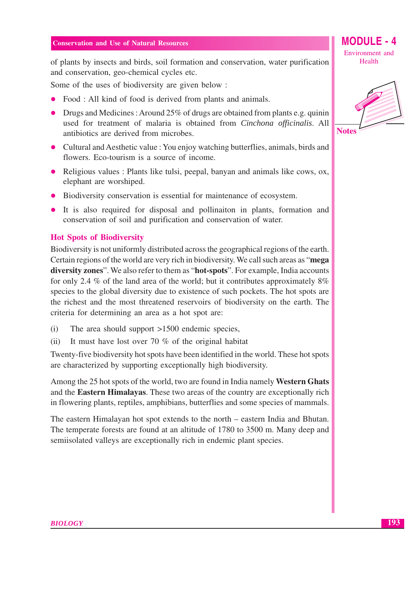of plants by insects and birds, soil formation and conservation, water purification and conservation, geo-chemical cycles etc.

Some of the uses of biodiversity are given below:

- Food : All kind of food is derived from plants and animals.
- Drugs and Medicines: Around  $25\%$  of drugs are obtained from plants e.g. quinin used for treatment of malaria is obtained from Cinchona officinalis. All antibiotics are derived from microbes.
- Cultural and Aesthetic value : You enjoy watching butterflies, animals, birds and flowers. Eco-tourism is a source of income.
- Religious values : Plants like tulsi, peepal, banyan and animals like cows, ox, elephant are worshiped.
- Biodiversity conservation is essential for maintenance of ecosystem.
- It is also required for disposal and pollination in plants, formation and conservation of soil and purification and conservation of water.

#### **Hot Spots of Biodiversity**

Biodiversity is not uniformly distributed across the geographical regions of the earth. Certain regions of the world are very rich in biodiversity. We call such areas as "mega diversity zones". We also refer to them as "hot-spots". For example, India accounts for only 2.4 % of the land area of the world; but it contributes approximately  $8\%$ species to the global diversity due to existence of such pockets. The hot spots are the richest and the most threatened reservoirs of biodiversity on the earth. The criteria for determining an area as a hot spot are:

- $(i)$ The area should support  $>1500$  endemic species,
- It must have lost over 70  $%$  of the original habitat  $(ii)$

Twenty-five biodiversity hot spots have been identified in the world. These hot spots are characterized by supporting exceptionally high biodiversity.

Among the 25 hot spots of the world, two are found in India namely Western Ghats and the Eastern Himalayas. These two areas of the country are exceptionally rich in flowering plants, reptiles, amphibians, butterflies and some species of mammals.

The eastern Himalayan hot spot extends to the north – eastern India and Bhutan. The temperate forests are found at an altitude of 1780 to 3500 m. Many deep and semiisolated valleys are exceptionally rich in endemic plant species.

Environment and Health

**MODULE - 4** 

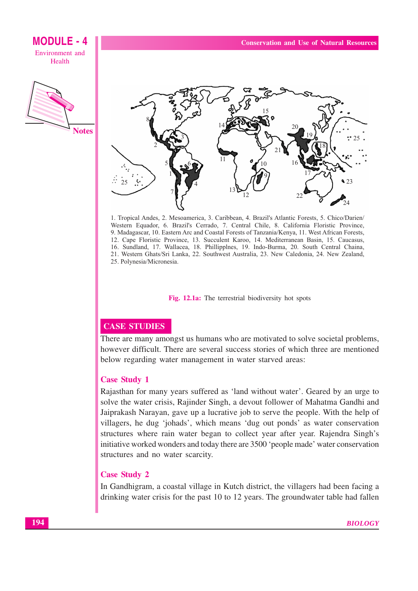**MODULE - 4 Conservation and Use of Natural Resources** Environment and Health **Notes**  $\bullet$  23

1. Tropical Andes, 2. Mesoamerica, 3. Caribbean, 4. Brazil's Atlantic Forests, 5. Chico/Darien/ Western Equador, 6. Brazil's Cerrado, 7. Central Chile, 8. California Floristic Province, 9. Madagascar, 10. Eastern Arc and Coastal Forests of Tanzania/Kenya, 11. West African Forests, 12. Cape Floristic Province, 13. Succulent Karoo, 14. Mediterranean Basin, 15. Caucasus, 16. Sundland, 17. Wallacea, 18. Phillipplnes, 19. Indo-Burma, 20. South Central Chaina, 21. Western Ghats/Sri Lanka, 22. Southwest Australia, 23. New Caledonia, 24. New Zealand, 25. Polynesia/Micronesia.

Fig. 12.1a: The terrestrial biodiversity hot spots

## **CASE STUDIES**

There are many amongst us humans who are motivated to solve societal problems, however difficult. There are several success stories of which three are mentioned below regarding water management in water starved areas:

#### **Case Study 1**

Rajasthan for many years suffered as 'land without water'. Geared by an urge to solve the water crisis, Rajinder Singh, a devout follower of Mahatma Gandhi and Jaiprakash Narayan, gave up a lucrative job to serve the people. With the help of villagers, he dug 'johads', which means 'dug out ponds' as water conservation structures where rain water began to collect year after year. Rajendra Singh's initiative worked wonders and today there are 3500 'people made' water conservation structures and no water scarcity.

#### **Case Study 2**

In Gandhigram, a coastal village in Kutch district, the villagers had been facing a drinking water crisis for the past 10 to 12 years. The groundwater table had fallen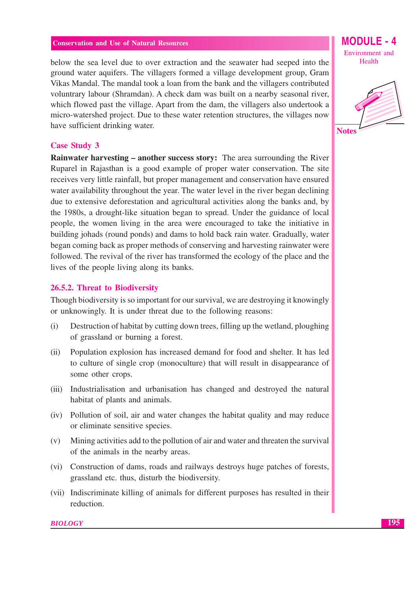below the sea level due to over extraction and the seawater had seeped into the ground water aquifers. The villagers formed a village development group, Gram Vikas Mandal. The mandal took a loan from the bank and the villagers contributed voluntrary labour (Shramdan). A check dam was built on a nearby seasonal river, which flowed past the village. Apart from the dam, the villagers also undertook a micro-watershed project. Due to these water retention structures, the villages now have sufficient drinking water.

#### **Case Study 3**

**Rainwater harvesting – another success story:** The area surrounding the River Ruparel in Rajasthan is a good example of proper water conservation. The site receives very little rainfall, but proper management and conservation have ensured water availability throughout the year. The water level in the river began declining due to extensive deforestation and agricultural activities along the banks and, by the 1980s, a drought-like situation began to spread. Under the guidance of local people, the women living in the area were encouraged to take the initiative in building johads (round ponds) and dams to hold back rain water. Gradually, water began coming back as proper methods of conserving and harvesting rainwater were followed. The revival of the river has transformed the ecology of the place and the lives of the people living along its banks.

#### 26.5.2. Threat to Biodiversity

Though biodiversity is so important for our survival, we are destroying it knowingly or unknowingly. It is under threat due to the following reasons:

- $(i)$ Destruction of habitat by cutting down trees, filling up the wetland, ploughing of grassland or burning a forest.
- $(ii)$ Population explosion has increased demand for food and shelter. It has led to culture of single crop (monoculture) that will result in disappearance of some other crops.
- (iii) Industrialisation and urbanisation has changed and destroved the natural habitat of plants and animals.
- (iv) Pollution of soil, air and water changes the habitat quality and may reduce or eliminate sensitive species.
- Mining activities add to the pollution of air and water and threaten the survival  $(v)$ of the animals in the nearby areas.
- (vi) Construction of dams, roads and railways destroys huge patches of forests, grassland etc. thus, disturb the biodiversity.
- (vii) Indiscriminate killing of animals for different purposes has resulted in their reduction.

**MODULE - 4** Environment and Health

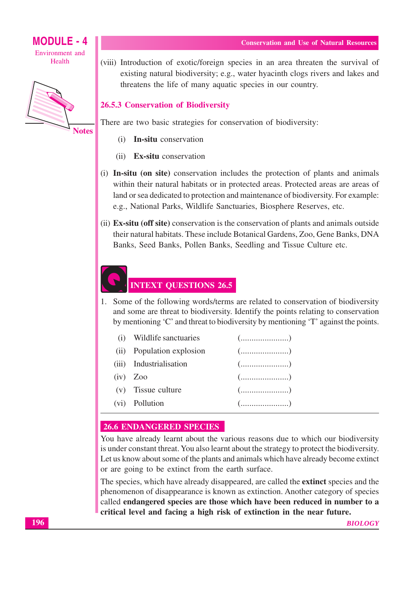**MODULE - 4** Environment and Health



(viii) Introduction of exotic/foreign species in an area threaten the survival of existing natural biodiversity; e.g., water hyacinth clogs rivers and lakes and threatens the life of many aquatic species in our country.

#### **26.5.3 Conservation of Biodiversity**

There are two basic strategies for conservation of biodiversity:

- **In-situ** conservation  $(i)$
- (ii) Ex-situ conservation
- (i) In-situ (on site) conservation includes the protection of plants and animals within their natural habitats or in protected areas. Protected areas are areas of land or sea dedicated to protection and maintenance of biodiversity. For example: e.g., National Parks, Wildlife Sanctuaries, Biosphere Reserves, etc.
- (ii) Ex-situ (off site) conservation is the conservation of plants and animals outside their natural habitats. These include Botanical Gardens, Zoo, Gene Banks, DNA Banks, Seed Banks, Pollen Banks, Seedling and Tissue Culture etc.

## **INTEXT QUESTIONS 26.5**

1. Some of the following words/terms are related to conservation of biodiversity and some are threat to biodiversity. Identify the points relating to conservation by mentioning 'C' and threat to biodiversity by mentioning 'T' against the points.

| (i) Wildlife sanctuaries  |                                                    |
|---------------------------|----------------------------------------------------|
| (ii) Population explosion |                                                    |
| (iii) Industrialisation   |                                                    |
| $(iv)$ Zoo                | $(\dots, \dots, \dots, \dots, \dots)$              |
| (v) Tissue culture        |                                                    |
| (vi) Pollution            | $(\ldots, \ldots, \ldots, \ldots, \ldots, \ldots)$ |

#### **26.6 ENDANGERED SPECIES**

You have already learnt about the various reasons due to which our biodiversity is under constant threat. You also learnt about the strategy to protect the biodiversity. Let us know about some of the plants and animals which have already become extinct or are going to be extinct from the earth surface.

The species, which have already disappeared, are called the extinct species and the phenomenon of disappearance is known as extinction. Another category of species called endangered species are those which have been reduced in number to a critical level and facing a high risk of extinction in the near future.

#### **Conservation and Use of Natural Resources**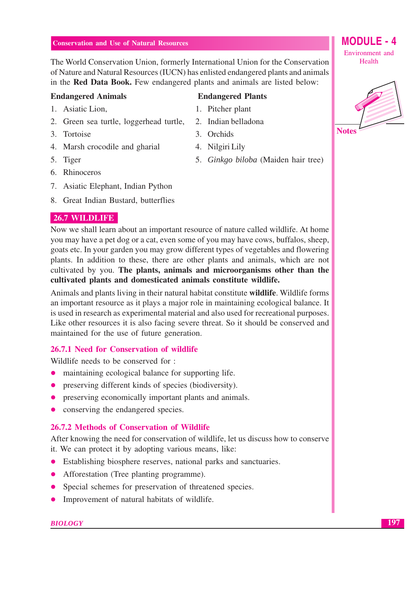The World Conservation Union, formerly International Union for the Conservation of Nature and Natural Resources (IUCN) has enlisted endangered plants and animals in the Red Data Book. Few endangered plants and animals are listed below:

#### **Endangered Animals**

- 1. Asiatic Lion.
- 2. Green sea turtle, loggerhead turtle,
- 3. Tortoise
- 4. Marsh crocodile and gharial
- 5. Tiger
- 6. Rhinoceros
- 7. Asiatic Elephant, Indian Python
- 8. Great Indian Bustard, butterflies

#### 26.7 WILDLIFE

Now we shall learn about an important resource of nature called wildlife. At home you may have a pet dog or a cat, even some of you may have cows, buffalos, sheep, goats etc. In your garden you may grow different types of vegetables and flowering plants. In addition to these, there are other plants and animals, which are not cultivated by you. The plants, animals and microorganisms other than the cultivated plants and domesticated animals constitute wildlife.

Animals and plants living in their natural habitat constitute **wildlife**. Wildlife forms an important resource as it plays a major role in maintaining ecological balance. It is used in research as experimental material and also used for recreational purposes. Like other resources it is also facing severe threat. So it should be conserved and maintained for the use of future generation.

#### 26.7.1 Need for Conservation of wildlife

Wildlife needs to be conserved for:

- maintaining ecological balance for supporting life.  $\bullet$
- preserving different kinds of species (biodiversity).  $\bullet$
- preserving economically important plants and animals.  $\bullet$
- conserving the endangered species.

#### 26.7.2 Methods of Conservation of Wildlife

After knowing the need for conservation of wildlife, let us discuss how to conserve it. We can protect it by adopting various means, like:

- Establishing biosphere reserves, national parks and sanctuaries.
- Afforestation (Tree planting programme).
- Special schemes for preservation of threatened species.
- Improvement of natural habitats of wildlife.

#### **BIOLOGY**

## **Endangered Plants**

- 1. Pitcher plant
- 2. Indian belladona
- 3. Orchids
- 4. Nilgiri Lily
- 5. Ginkgo biloba (Maiden hair tree)



**MODULE - 4** 

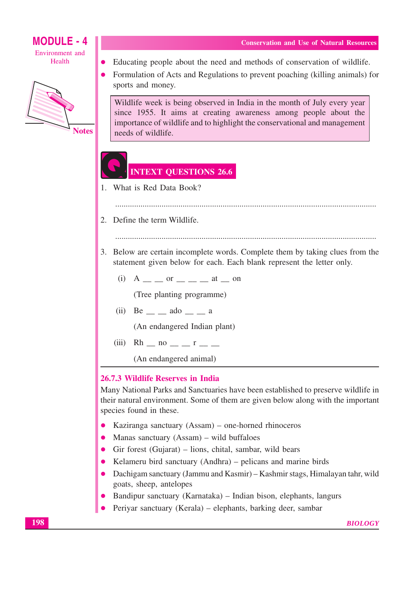





- Educating people about the need and methods of conservation of wildlife.
- Formulation of Acts and Regulations to prevent poaching (killing animals) for  $\bullet$ sports and money.

Wildlife week is being observed in India in the month of July every year since 1955. It aims at creating awareness among people about the importance of wildlife and to highlight the conservational and management needs of wildlife.

## **INTEXT QUESTIONS 26.6**

- 1. What is Red Data Book?
	-
- 2. Define the term Wildlife.
	-
- 3. Below are certain incomplete words. Complete them by taking clues from the statement given below for each. Each blank represent the letter only.
	- (i)  $A = \iint$  or  $\iint$  at  $\iint$  on

(Tree planting programme)

 $(ii)$  Be  $\_\_$  ado  $\_\_$  a

(An endangered Indian plant)

(iii) Rh \_ no \_ \_ r \_ \_

(An endangered animal)

#### 26.7.3 Wildlife Reserves in India

Many National Parks and Sanctuaries have been established to preserve wildlife in their natural environment. Some of them are given below along with the important species found in these.

- Kaziranga sanctuary (Assam) one-horned rhinoceros
- Manas sanctuary (Assam) wild buffaloes
- Gir forest (Gujarat) lions, chital, sambar, wild bears
- Kelameru bird sanctuary (Andhra) pelicans and marine birds  $\bullet$
- Dachigam sanctuary (Jammu and Kasmir) Kashmir stags, Himalayan tahr, wild  $\bullet$ goats, sheep, antelopes
- Bandipur sanctuary (Karnataka) Indian bison, elephants, langurs
- Periyar sanctuary (Kerala) elephants, barking deer, sambar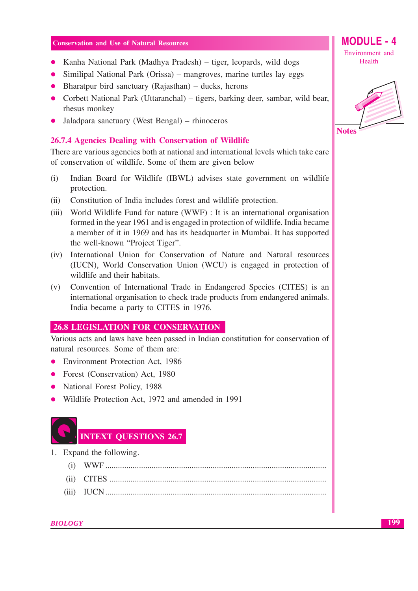- Kanha National Park (Madhya Pradesh) tiger, leopards, wild dogs
- Similipal National Park (Orissa) mangroves, marine turtles lay eggs
- Bharatpur bird sanctuary (Rajasthan)  $-$  ducks, herons
- Corbett National Park (Uttaranchal) tigers, barking deer, sambar, wild bear, rhesus monkey
- Jaladpara sanctuary (West Bengal) rhinoceros

#### 26.7.4 Agencies Dealing with Conservation of Wildlife

There are various agencies both at national and international levels which take care of conservation of wildlife. Some of them are given below

- Indian Board for Wildlife (IBWL) advises state government on wildlife  $(i)$ protection.
- $(ii)$ Constitution of India includes forest and wildlife protection.
- (iii) World Wildlife Fund for nature (WWF) : It is an international organisation formed in the year 1961 and is engaged in protection of wildlife. India became a member of it in 1969 and has its headquarter in Mumbai. It has supported the well-known "Project Tiger".
- (iv) International Union for Conservation of Nature and Natural resources (IUCN), World Conservation Union (WCU) is engaged in protection of wildlife and their habitats.
- Convention of International Trade in Endangered Species (CITES) is an  $(v)$ international organisation to check trade products from endangered animals. India became a party to CITES in 1976.

#### **26.8 LEGISLATION FOR CONSERVATION**

Various acts and laws have been passed in Indian constitution for conservation of natural resources. Some of them are:

- Environment Protection Act, 1986
- Forest (Conservation) Act, 1980
- National Forest Policy, 1988
- Wildlife Protection Act, 1972 and amended in 1991



## **INTEXT QUESTIONS 26.7**

- 1. Expand the following.
	-
	-
	-

Environment and Health

**MODULE - 4** 

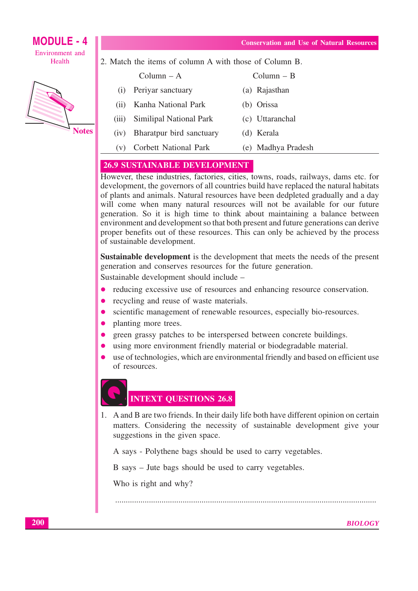$Column - R$ 

(a) Rajasthan





**Notes** 

|  |  |  |  |  | 2. Match the items of column A with those of Column B. |  |
|--|--|--|--|--|--------------------------------------------------------|--|
|  |  |  |  |  |                                                        |  |

| CORTILE $-A$        |  |
|---------------------|--|
| Periyar sanctuary   |  |
| Kanha National Park |  |

 $C<sub>1</sub>$ 

 $(i)$ 

- $(ii)$ (b) Orissa
- $(iii)$ **Similipal National Park** (c) Uttaranchal
- $(iv)$ Bharatpur bird sanctuary (d) Kerala
- **Corbett National Park** (e) Madhya Pradesh  $(v)$

## **26.9 SUSTAINABLE DEVELOPMENT**

However, these industries, factories, cities, towns, roads, railways, dams etc. for development, the governors of all countries build have replaced the natural habitats of plants and animals. Natural resources have been dedpleted gradually and a day will come when many natural resources will not be available for our future generation. So it is high time to think about maintaining a balance between environment and development so that both present and future generations can derive proper benefits out of these resources. This can only be achieved by the process of sustainable development.

Sustainable development is the development that meets the needs of the present generation and conserves resources for the future generation.

Sustainable development should include -

- $\bullet$ reducing excessive use of resources and enhancing resource conservation.
- recycling and reuse of waste materials.
- scientific management of renewable resources, especially bio-resources.  $\bullet$
- $\bullet$ planting more trees.
- green grassy patches to be interspersed between concrete buildings.
- using more environment friendly material or biodegradable material.
- use of technologies, which are environmental friendly and based on efficient use of resources.

## **INTEXT QUESTIONS 26.8**

1. A and B are two friends. In their daily life both have different opinion on certain matters. Considering the necessity of sustainable development give your suggestions in the given space.

A says - Polythene bags should be used to carry vegetables.

B says – Jute bags should be used to carry vegetables.

Who is right and why?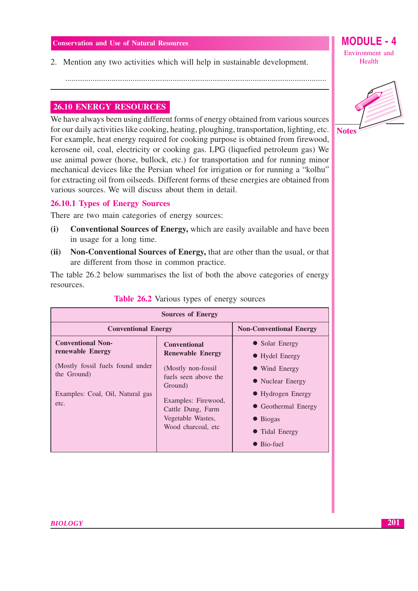2. Mention any two activities which will help in sustainable development.

#### **26.10 ENERGY RESOURCES**

We have always been using different forms of energy obtained from various sources for our daily activities like cooking, heating, ploughing, transportation, lighting, etc. For example, heat energy required for cooking purpose is obtained from firewood, kerosene oil, coal, electricity or cooking gas. LPG (liquefied petroleum gas) We use animal power (horse, bullock, etc.) for transportation and for running minor mechanical devices like the Persian wheel for irrigation or for running a "kolhu" for extracting oil from oilseeds. Different forms of these energies are obtained from various sources. We will discuss about them in detail.

#### **26.10.1 Types of Energy Sources**

There are two main categories of energy sources:

- **Conventional Sources of Energy, which are easily available and have been**  $(i)$ in usage for a long time.
- Non-Conventional Sources of Energy, that are other than the usual, or that  $(ii)$ are different from those in common practice.

The table 26.2 below summarises the list of both the above categories of energy resources.

| <b>Sources of Energy</b>                                                                                                                    |                                                                                                                                                                                                  |                                                                                                                                                                               |  |  |  |
|---------------------------------------------------------------------------------------------------------------------------------------------|--------------------------------------------------------------------------------------------------------------------------------------------------------------------------------------------------|-------------------------------------------------------------------------------------------------------------------------------------------------------------------------------|--|--|--|
| <b>Conventional Energy</b>                                                                                                                  | <b>Non-Conventional Energy</b>                                                                                                                                                                   |                                                                                                                                                                               |  |  |  |
| <b>Conventional Non-</b><br>renewable Energy<br>(Mostly fossil fuels found under<br>the Ground)<br>Examples: Coal, Oil, Natural gas<br>etc. | <b>Conventional</b><br><b>Renewable Energy</b><br>(Mostly non-fossil)<br>fuels seen above the<br>Ground)<br>Examples: Firewood,<br>Cattle Dung, Farm<br>Vegetable Wastes,<br>Wood charcoal, etc. | • Solar Energy<br>• Hydel Energy<br>• Wind Energy<br>• Nuclear Energy<br>• Hydrogen Energy<br>• Geothermal Energy<br>$\bullet$ Biogas<br>• Tidal Energy<br>$\bullet$ Bio-fuel |  |  |  |

#### **Table 26.2** Various types of energy sources



#### **MODULE - 4** Environment and Health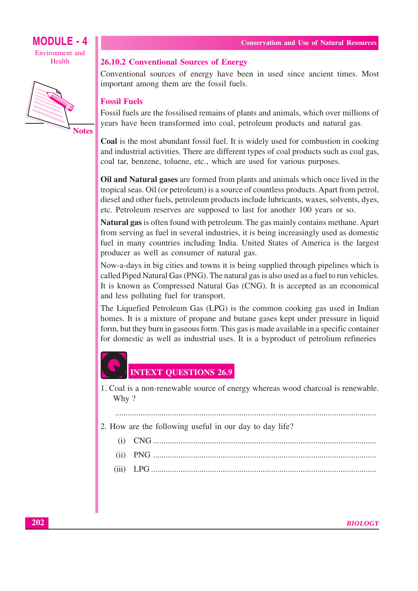



**Notes** 

#### **26.10.2 Conventional Sources of Energy**

Conventional sources of energy have been in used since ancient times. Most important among them are the fossil fuels.

#### **Fossil Fuels**

Fossil fuels are the fossilised remains of plants and animals, which over millions of years have been transformed into coal, petroleum products and natural gas.

**Coal** is the most abundant fossil fuel. It is widely used for combustion in cooking and industrial activities. There are different types of coal products such as coal gas, coal tar, benzene, toluene, etc., which are used for various purposes.

Oil and Natural gases are formed from plants and animals which once lived in the tropical seas. Oil (or petroleum) is a source of countless products. Apart from petrol, diesel and other fuels, petroleum products include lubricants, waxes, solvents, dyes, etc. Petroleum reserves are supposed to last for another 100 years or so.

**Natural gas** is often found with petroleum. The gas mainly contains methane. Apart from serving as fuel in several industries, it is being increasingly used as domestic fuel in many countries including India. United States of America is the largest producer as well as consumer of natural gas.

Now-a-days in big cities and towns it is being supplied through pipelines which is called Piped Natural Gas (PNG). The natural gas is also used as a fuel to run vehicles. It is known as Compressed Natural Gas (CNG). It is accepted as an economical and less polluting fuel for transport.

The Liquefied Petroleum Gas (LPG) is the common cooking gas used in Indian homes. It is a mixture of propane and butane gases kept under pressure in liquid form, but they burn in gaseous form. This gas is made available in a specific container for domestic as well as industrial uses. It is a byproduct of petrolium refineries

## **INTEXT OUESTIONS 26.9**

1. Coal is a non-renewable source of energy whereas wood charcoal is renewable. Why?

2. How are the following useful in our day to day life?

 $(ii)$  $(iii)$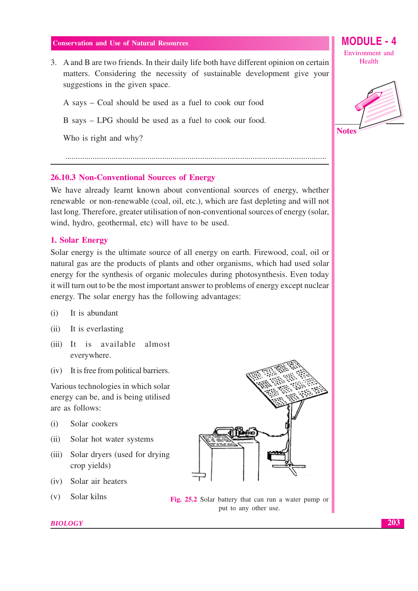3. A and B are two friends. In their daily life both have different opinion on certain matters. Considering the necessity of sustainable development give your suggestions in the given space.

A says – Coal should be used as a fuel to cook our food

B says – LPG should be used as a fuel to cook our food.

Who is right and why?

#### 26.10.3 Non-Conventional Sources of Energy

We have already learnt known about conventional sources of energy, whether renewable or non-renewable (coal, oil, etc.), which are fast depleting and will not last long. Therefore, greater utilisation of non-conventional sources of energy (solar, wind, hydro, geothermal, etc) will have to be used.

#### 1. Solar Energy

Solar energy is the ultimate source of all energy on earth. Firewood, coal, oil or natural gas are the products of plants and other organisms, which had used solar energy for the synthesis of organic molecules during photosynthesis. Even today it will turn out to be the most important answer to problems of energy except nuclear energy. The solar energy has the following advantages:

- $(i)$ It is abundant
- $(ii)$ It is everlasting
- (iii) It is available almost everywhere.
- (iv) It is free from political barriers.

Various technologies in which solar energy can be, and is being utilised are as follows:

- $(i)$ Solar cookers
- $(ii)$ Solar hot water systems
- $(iii)$ Solar dryers (used for drying crop yields)
- (iv) Solar air heaters
- Solar kilns  $(v)$



Fig. 25.2 Solar battery that can run a water pump or put to any other use.

#### **BIOLOGY**

**MODULE - 4** Environment and Health

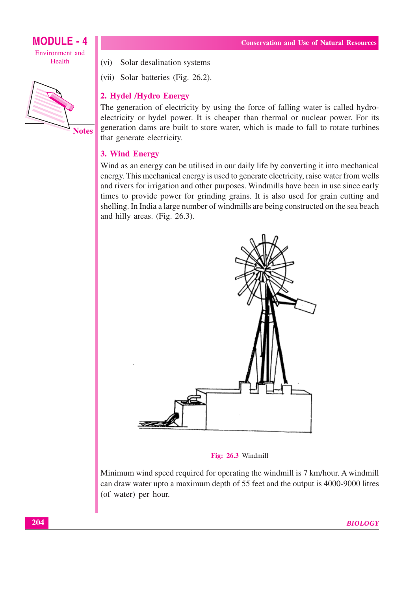**MODULE - 4** Environment and Health



(vi) Solar desalination systems

(vii) Solar batteries (Fig. 26.2).

## 2. Hydel /Hydro Energy

The generation of electricity by using the force of falling water is called hydroelectricity or hydel power. It is cheaper than thermal or nuclear power. For its generation dams are built to store water, which is made to fall to rotate turbines that generate electricity.

## 3. Wind Energy

Wind as an energy can be utilised in our daily life by converting it into mechanical energy. This mechanical energy is used to generate electricity, raise water from wells and rivers for irrigation and other purposes. Windmills have been in use since early times to provide power for grinding grains. It is also used for grain cutting and shelling. In India a large number of windmills are being constructed on the sea beach and hilly areas. (Fig. 26.3).



Fig: 26.3 Windmill

Minimum wind speed required for operating the windmill is 7 km/hour. A windmill can draw water upto a maximum depth of 55 feet and the output is 4000-9000 litres (of water) per hour.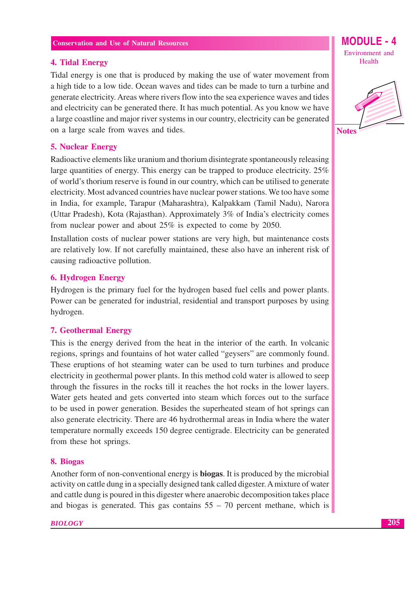#### **4. Tidal Energy**

Tidal energy is one that is produced by making the use of water movement from a high tide to a low tide. Ocean waves and tides can be made to turn a turbine and generate electricity. Areas where rivers flow into the sea experience waves and tides and electricity can be generated there. It has much potential. As you know we have a large coastline and major river systems in our country, electricity can be generated on a large scale from waves and tides.

#### **5. Nuclear Energy**

Radioactive elements like uranium and thorium disintegrate spontaneously releasing large quantities of energy. This energy can be trapped to produce electricity. 25% of world's thorium reserve is found in our country, which can be utilised to generate electricity. Most advanced countries have nuclear power stations. We too have some in India, for example, Tarapur (Maharashtra), Kalpakkam (Tamil Nadu), Narora (Uttar Pradesh), Kota (Rajasthan). Approximately 3% of India's electricity comes from nuclear power and about  $25\%$  is expected to come by 2050.

Installation costs of nuclear power stations are very high, but maintenance costs are relatively low. If not carefully maintained, these also have an inherent risk of causing radioactive pollution.

#### **6. Hydrogen Energy**

Hydrogen is the primary fuel for the hydrogen based fuel cells and power plants. Power can be generated for industrial, residential and transport purposes by using hydrogen.

#### **7. Geothermal Energy**

This is the energy derived from the heat in the interior of the earth. In volcanic regions, springs and fountains of hot water called "geysers" are commonly found. These eruptions of hot steaming water can be used to turn turbines and produce electricity in geothermal power plants. In this method cold water is allowed to seep through the fissures in the rocks till it reaches the hot rocks in the lower layers. Water gets heated and gets converted into steam which forces out to the surface to be used in power generation. Besides the superheated steam of hot springs can also generate electricity. There are 46 hydrothermal areas in India where the water temperature normally exceeds 150 degree centigrade. Electricity can be generated from these hot springs.

#### 8. Biogas

Another form of non-conventional energy is **biogas**. It is produced by the microbial activity on cattle dung in a specially designed tank called digester. A mixture of water and cattle dung is poured in this digester where anaerobic decomposition takes place and biogas is generated. This gas contains  $55 - 70$  percent methane, which is Environment and Health

**MODULE -**

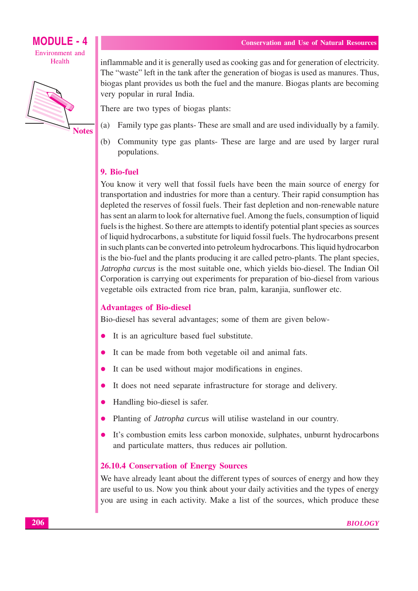

**MODULE - 4** Environment and Health



inflammable and it is generally used as cooking gas and for generation of electricity. The "waste" left in the tank after the generation of biogas is used as manures. Thus, biogas plant provides us both the fuel and the manure. Biogas plants are becoming very popular in rural India.

There are two types of biogas plants:

- $(a)$ Family type gas plants- These are small and are used individually by a family.
- $(b)$ Community type gas plants- These are large and are used by larger rural populations.

## 9. Bio-fuel

You know it very well that fossil fuels have been the main source of energy for transportation and industries for more than a century. Their rapid consumption has depleted the reserves of fossil fuels. Their fast depletion and non-renewable nature has sent an alarm to look for alternative fuel. Among the fuels, consumption of liquid fuels is the highest. So there are attempts to identify potential plant species as sources of liquid hydrocarbons, a substitute for liquid fossil fuels. The hydrocarbons present in such plants can be converted into petroleum hydrocarbons. This liquid hydrocarbon is the bio-fuel and the plants producing it are called petro-plants. The plant species, Jatropha curcus is the most suitable one, which yields bio-diesel. The Indian Oil Corporation is carrying out experiments for preparation of bio-diesel from various vegetable oils extracted from rice bran, palm, karanjia, sunflower etc.

## **Advantages of Bio-diesel**

Bio-diesel has several advantages; some of them are given below-

- It is an agriculture based fuel substitute.  $\bullet$
- It can be made from both vegetable oil and animal fats.  $\bullet$
- It can be used without major modifications in engines.  $\bullet$
- It does not need separate infrastructure for storage and delivery.  $\bullet$
- $\bullet$ Handling bio-diesel is safer.
- Planting of *Jatropha curcus* will utilise wasteland in our country.
- It's combustion emits less carbon monoxide, sulphates, unburnt hydrocarbons  $\bullet$ and particulate matters, thus reduces air pollution.

#### **26.10.4 Conservation of Energy Sources**

We have already leant about the different types of sources of energy and how they are useful to us. Now you think about your daily activities and the types of energy you are using in each activity. Make a list of the sources, which produce these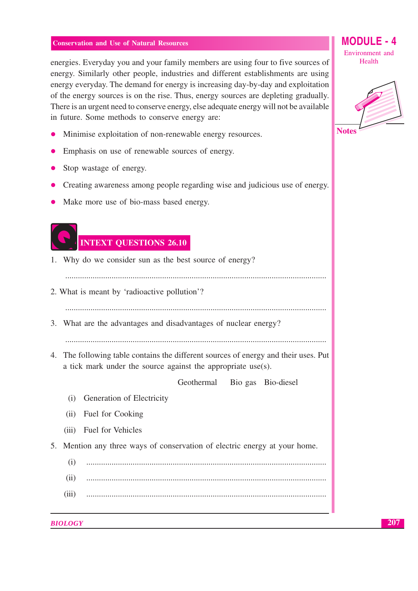energies. Everyday you and your family members are using four to five sources of energy. Similarly other people, industries and different establishments are using energy everyday. The demand for energy is increasing day-by-day and exploitation of the energy sources is on the rise. Thus, energy sources are depleting gradually. There is an urgent need to conserve energy, else adequate energy will not be available in future. Some methods to conserve energy are:

- Minimise exploitation of non-renewable energy resources.
- Emphasis on use of renewable sources of energy.
- Stop wastage of energy.
- Creating awareness among people regarding wise and judicious use of energy.
- Make more use of bio-mass based energy.

# **INTEXT QUESTIONS 26.10**

1. Why do we consider sun as the best source of energy?

- 2. What is meant by 'radioactive pollution'?
- 
- 3. What are the advantages and disadvantages of nuclear energy?

4. The following table contains the different sources of energy and their uses. Put a tick mark under the source against the appropriate use(s).

> Geothermal Bio gas Bio-diesel

- (i) Generation of Electricity
- (ii) Fuel for Cooking
- Fuel for Vehicles  $(iii)$
- 5. Mention any three ways of conservation of electric energy at your home.
	- $(i)$
	- $(ii)$
	- $(iii)$

**BIOLOGY** 

**MODULE** Environment and Health

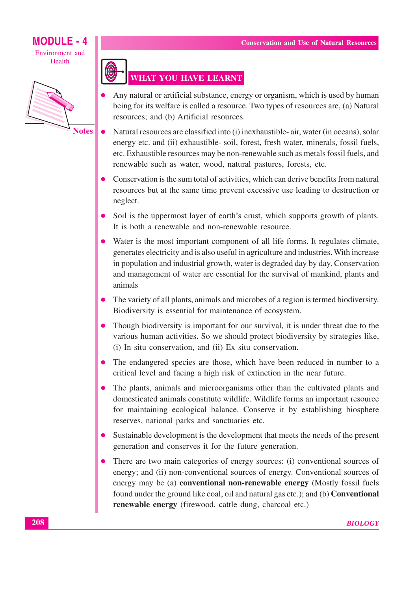## **MODULF - 4** Environment and Health



**Notes** 



- Any natural or artificial substance, energy or organism, which is used by human being for its welfare is called a resource. Two types of resources are, (a) Natural resources; and (b) Artificial resources.
- Natural resources are classified into (i) inexhaustible- air, water (in oceans), solar  $\bullet$ energy etc. and (ii) exhaustible-soil, forest, fresh water, minerals, fossil fuels, etc. Exhaustible resources may be non-renewable such as metals fossil fuels, and renewable such as water, wood, natural pastures, forests, etc.
- Conservation is the sum total of activities, which can derive benefits from natural resources but at the same time prevent excessive use leading to destruction or neglect.
- Soil is the uppermost layer of earth's crust, which supports growth of plants. It is both a renewable and non-renewable resource.
- Water is the most important component of all life forms. It regulates climate, generates electricity and is also useful in agriculture and industries. With increase in population and industrial growth, water is degraded day by day. Conservation and management of water are essential for the survival of mankind, plants and animals
- The variety of all plants, animals and microbes of a region is termed biodiversity. Biodiversity is essential for maintenance of ecosystem.
- Though biodiversity is important for our survival, it is under threat due to the various human activities. So we should protect biodiversity by strategies like, (i) In situ conservation, and (ii) Ex situ conservation.
- The endangered species are those, which have been reduced in number to a critical level and facing a high risk of extinction in the near future.
- The plants, animals and microorganisms other than the cultivated plants and domesticated animals constitute wildlife. Wildlife forms an important resource for maintaining ecological balance. Conserve it by establishing biosphere reserves, national parks and sanctuaries etc.
- Sustainable development is the development that meets the needs of the present generation and conserves it for the future generation.
- There are two main categories of energy sources: (i) conventional sources of energy; and (ii) non-conventional sources of energy. Conventional sources of energy may be (a) **conventional non-renewable energy** (Mostly fossil fuels found under the ground like coal, oil and natural gas etc.); and (b) **Conventional** renewable energy (firewood, cattle dung, charcoal etc.)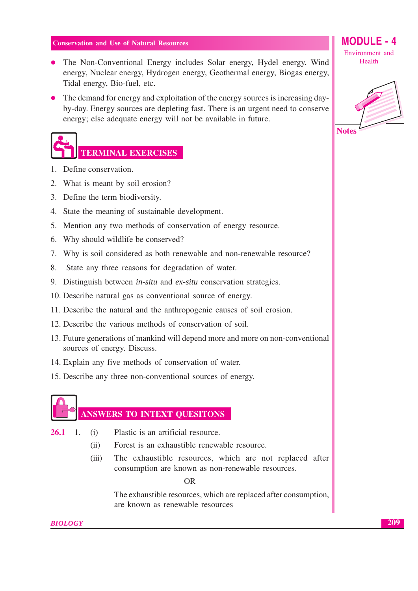- The Non-Conventional Energy includes Solar energy, Hydel energy, Wind energy, Nuclear energy, Hydrogen energy, Geothermal energy, Biogas energy, Tidal energy, Bio-fuel, etc.
- The demand for energy and exploitation of the energy sources is increasing dayby-day. Energy sources are depleting fast. There is an urgent need to conserve energy; else adequate energy will not be available in future.

# **TERMINAL EXERCISES**

- 1. Define conservation.
- 2. What is meant by soil erosion?
- 3. Define the term biodiversity.
- 4. State the meaning of sustainable development.
- 5. Mention any two methods of conservation of energy resource.
- 6. Why should wildlife be conserved?
- 7. Why is soil considered as both renewable and non-renewable resource?
- 8. State any three reasons for degradation of water.
- 9. Distinguish between in-situ and ex-situ conservation strategies.
- 10. Describe natural gas as conventional source of energy.
- 11. Describe the natural and the anthropogenic causes of soil erosion.
- 12. Describe the various methods of conservation of soil.
- 13. Future generations of mankind will depend more and more on non-conventional sources of energy. Discuss.
- 14. Explain any five methods of conservation of water.
- 15. Describe any three non-conventional sources of energy.



## **ANSWERS TO INTEXT QUESITONS**

- $\overline{1}$ . Plastic is an artificial resource. 26.1  $(i)$ 
	- Forest is an exhaustible renewable resource.  $(ii)$
	- The exhaustible resources, which are not replaced after  $(iii)$ consumption are known as non-renewable resources.

 $OR$ 

The exhaustible resources, which are replaced after consumption, are known as renewable resources

**MODULE - 4** 

Environment and Health



**BIOLOGY**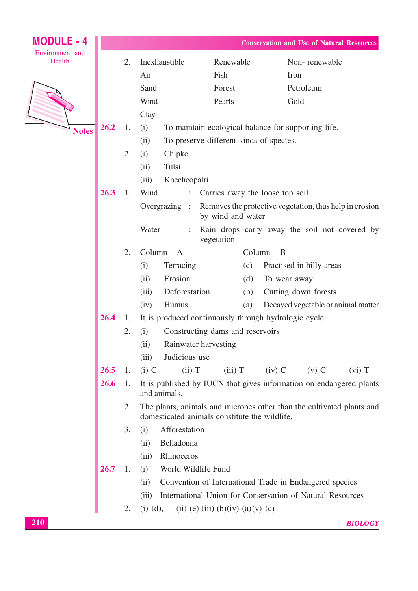| <b>MODULE - 4</b>         |      |    |                                                                        | <b>Conservation and Use of Natural Resources</b> |                                                                       |  |  |  |  |
|---------------------------|------|----|------------------------------------------------------------------------|--------------------------------------------------|-----------------------------------------------------------------------|--|--|--|--|
| Environment and<br>Health |      | 2. | Inexhaustible                                                          | Renewable                                        | Non-renewable                                                         |  |  |  |  |
|                           |      |    | Air                                                                    | Fish                                             | Iron                                                                  |  |  |  |  |
|                           |      |    | Sand                                                                   | Forest                                           | Petroleum                                                             |  |  |  |  |
|                           |      |    | Wind                                                                   | Pearls                                           | Gold                                                                  |  |  |  |  |
|                           |      |    | Clay                                                                   |                                                  |                                                                       |  |  |  |  |
| <b>Notes</b>              | 26.2 | 1. | (i)                                                                    |                                                  | To maintain ecological balance for supporting life.                   |  |  |  |  |
|                           |      |    | (ii)                                                                   | To preserve different kinds of species.          |                                                                       |  |  |  |  |
|                           |      | 2. | (i)<br>Chipko                                                          |                                                  |                                                                       |  |  |  |  |
|                           |      |    | Tulsi<br>(ii)                                                          |                                                  |                                                                       |  |  |  |  |
|                           |      |    | (iii)<br>Khecheopalri                                                  |                                                  |                                                                       |  |  |  |  |
|                           | 26.3 | 1. | Wind<br>$\mathbb{Z}^{\mathbb{Z}^n}$<br>Carries away the loose top soil |                                                  |                                                                       |  |  |  |  |
|                           |      |    | Overgrazing :                                                          | by wind and water                                | Removes the protective vegetation, thus help in erosion               |  |  |  |  |
|                           |      |    | Water<br>$\ddot{\phantom{a}}$                                          | vegetation.                                      | Rain drops carry away the soil not covered by                         |  |  |  |  |
|                           |      | 2. | $Column - A$                                                           |                                                  | $Column - B$                                                          |  |  |  |  |
|                           |      |    | (i)<br>Terracing                                                       | (c)                                              | Practised in hilly areas                                              |  |  |  |  |
|                           |      |    | Erosion<br>(ii)                                                        | (d)                                              | To wear away                                                          |  |  |  |  |
|                           |      |    | Deforestation<br>(iii)                                                 | (b)                                              | Cutting down forests                                                  |  |  |  |  |
|                           |      |    | Humus<br>(iv)                                                          | (a)                                              | Decayed vegetable or animal matter                                    |  |  |  |  |
|                           | 26.4 | 1. |                                                                        |                                                  | It is produced continuously through hydrologic cycle.                 |  |  |  |  |
|                           |      | 2. | (i)                                                                    | Constructing dams and reservoirs                 |                                                                       |  |  |  |  |
|                           |      |    | (ii)                                                                   | Rainwater harvesting                             |                                                                       |  |  |  |  |
|                           |      |    | Judicious use<br>(iii)                                                 |                                                  |                                                                       |  |  |  |  |
|                           | 26.5 | 1. | $(i)$ C<br>(ii) T                                                      | $(iii)$ T                                        | $(iv)$ C<br>$(v)$ C<br>$(vi)$ T                                       |  |  |  |  |
|                           | 26.6 | 1. | and animals.                                                           |                                                  | It is published by IUCN that gives information on endangered plants   |  |  |  |  |
|                           |      | 2. |                                                                        | domesticated animals constitute the wildlife.    | The plants, animals and microbes other than the cultivated plants and |  |  |  |  |
|                           |      | 3. | Afforestation<br>(i)                                                   |                                                  |                                                                       |  |  |  |  |
|                           |      |    | Belladonna<br>(ii)                                                     |                                                  |                                                                       |  |  |  |  |
|                           |      |    | Rhinoceros<br>(iii)                                                    |                                                  |                                                                       |  |  |  |  |
|                           | 26.7 | 1. | World Wildlife Fund<br>(i)                                             |                                                  |                                                                       |  |  |  |  |
|                           |      |    | (ii)                                                                   |                                                  | Convention of International Trade in Endangered species               |  |  |  |  |
|                           |      |    | (iii)                                                                  |                                                  | International Union for Conservation of Natural Resources             |  |  |  |  |
|                           |      | 2. | $(i)$ $(d)$ ,                                                          | (ii) (e) (iii) (b)(iv) (a)(v) (c)                |                                                                       |  |  |  |  |
| 210                       |      |    |                                                                        |                                                  | <b>BIOLOGY</b>                                                        |  |  |  |  |
|                           |      |    |                                                                        |                                                  |                                                                       |  |  |  |  |